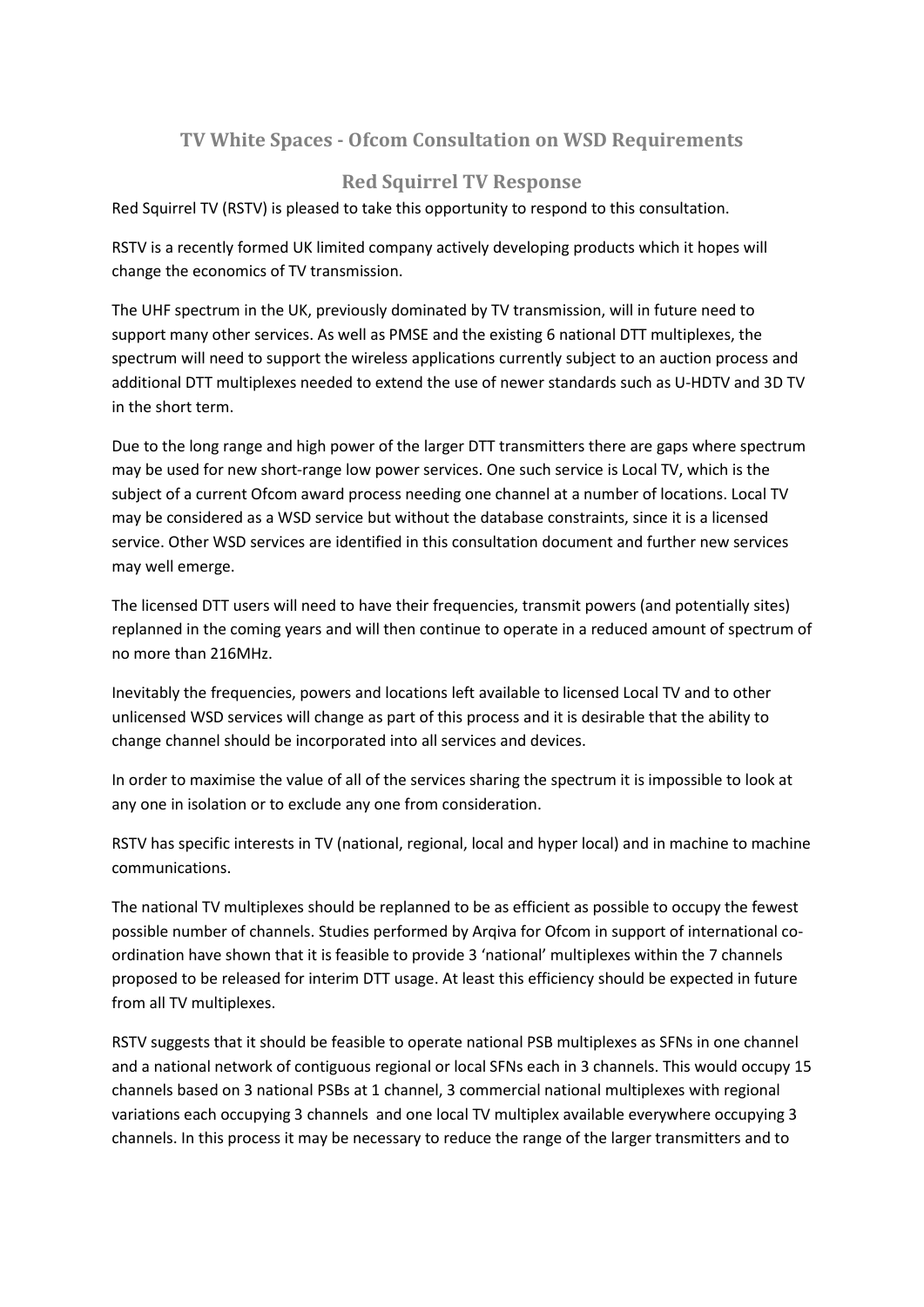## **TV White Spaces - Ofcom Consultation on WSD Requirements**

## **Red Squirrel TV Response**

Red Squirrel TV (RSTV) is pleased to take this opportunity to respond to this consultation.

RSTV is a recently formed UK limited company actively developing products which it hopes will change the economics of TV transmission.

The UHF spectrum in the UK, previously dominated by TV transmission, will in future need to support many other services. As well as PMSE and the existing 6 national DTT multiplexes, the spectrum will need to support the wireless applications currently subject to an auction process and additional DTT multiplexes needed to extend the use of newer standards such as U-HDTV and 3D TV in the short term.

Due to the long range and high power of the larger DTT transmitters there are gaps where spectrum may be used for new short-range low power services. One such service is Local TV, which is the subject of a current Ofcom award process needing one channel at a number of locations. Local TV may be considered as a WSD service but without the database constraints, since it is a licensed service. Other WSD services are identified in this consultation document and further new services may well emerge.

The licensed DTT users will need to have their frequencies, transmit powers (and potentially sites) replanned in the coming years and will then continue to operate in a reduced amount of spectrum of no more than 216MHz.

Inevitably the frequencies, powers and locations left available to licensed Local TV and to other unlicensed WSD services will change as part of this process and it is desirable that the ability to change channel should be incorporated into all services and devices.

In order to maximise the value of all of the services sharing the spectrum it is impossible to look at any one in isolation or to exclude any one from consideration.

RSTV has specific interests in TV (national, regional, local and hyper local) and in machine to machine communications.

The national TV multiplexes should be replanned to be as efficient as possible to occupy the fewest possible number of channels. Studies performed by Arqiva for Ofcom in support of international coordination have shown that it is feasible to provide 3 'national' multiplexes within the 7 channels proposed to be released for interim DTT usage. At least this efficiency should be expected in future from all TV multiplexes.

RSTV suggests that it should be feasible to operate national PSB multiplexes as SFNs in one channel and a national network of contiguous regional or local SFNs each in 3 channels. This would occupy 15 channels based on 3 national PSBs at 1 channel, 3 commercial national multiplexes with regional variations each occupying 3 channels and one local TV multiplex available everywhere occupying 3 channels. In this process it may be necessary to reduce the range of the larger transmitters and to